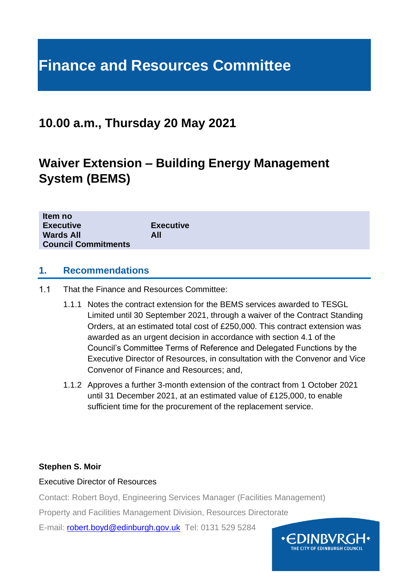# **Finance and Resources Committee**

### **10.00 a.m., Thursday 20 May 2021**

# **Waiver Extension – Building Energy Management System (BEMS)**

| Item no                    |                  |
|----------------------------|------------------|
| <b>Executive</b>           | <b>Executive</b> |
| <b>Wards All</b>           | All              |
| <b>Council Commitments</b> |                  |
|                            |                  |

#### **1. Recommendations**

- $1.1$ That the Finance and Resources Committee:
	- 1.1.1 Notes the contract extension for the BEMS services awarded to TESGL Limited until 30 September 2021, through a waiver of the Contract Standing Orders, at an estimated total cost of £250,000. This contract extension was awarded as an urgent decision in accordance with section 4.1 of the Council's Committee Terms of Reference and Delegated Functions by the Executive Director of Resources, in consultation with the Convenor and Vice Convenor of Finance and Resources; and,
	- 1.1.2 Approves a further 3-month extension of the contract from 1 October 2021 until 31 December 2021, at an estimated value of £125,000, to enable sufficient time for the procurement of the replacement service.

#### **Stephen S. Moir**

#### Executive Director of Resources

Contact: Robert Boyd, Engineering Services Manager (Facilities Management)

Property and Facilities Management Division, Resources Directorate

E-mail: [robert.boyd@edinburgh.gov.uk](mailto:robert.boyd@edinburgh.gov.uk) Tel: 0131 529 5284

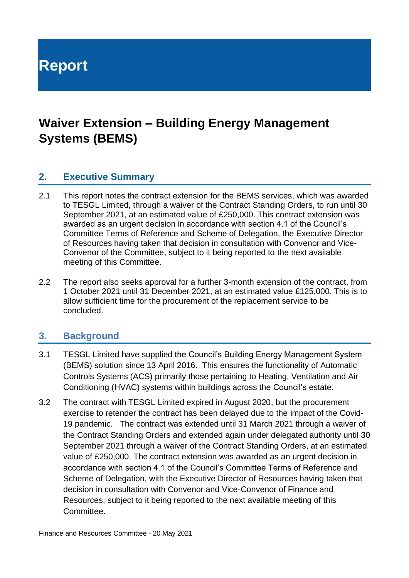**Report**

# **Waiver Extension – Building Energy Management Systems (BEMS)**

#### **2. Executive Summary**

- 2.1 This report notes the contract extension for the BEMS services, which was awarded to TESGL Limited, through a waiver of the Contract Standing Orders, to run until 30 September 2021, at an estimated value of £250,000. This contract extension was awarded as an urgent decision in accordance with section 4.1 of the Council's Committee Terms of Reference and Scheme of Delegation, the Executive Director of Resources having taken that decision in consultation with Convenor and Vice-Convenor of the Committee, subject to it being reported to the next available meeting of this Committee.
- 2.2 The report also seeks approval for a further 3-month extension of the contract, from 1 October 2021 until 31 December 2021, at an estimated value £125,000. This is to allow sufficient time for the procurement of the replacement service to be concluded.

#### **3. Background**

- 3.1 TESGL Limited have supplied the Council's Building Energy Management System (BEMS) solution since 13 April 2016. This ensures the functionality of Automatic Controls Systems (ACS) primarily those pertaining to Heating, Ventilation and Air Conditioning (HVAC) systems within buildings across the Council's estate.
- 3.2 The contract with TESGL Limited expired in August 2020, but the procurement exercise to retender the contract has been delayed due to the impact of the Covid-19 pandemic. The contract was extended until 31 March 2021 through a waiver of the Contract Standing Orders and extended again under delegated authority until 30 September 2021 through a waiver of the Contract Standing Orders, at an estimated value of £250,000. The contract extension was awarded as an urgent decision in accordance with section 4.1 of the Council's Committee Terms of Reference and Scheme of Delegation, with the Executive Director of Resources having taken that decision in consultation with Convenor and Vice-Convenor of Finance and Resources, subject to it being reported to the next available meeting of this Committee.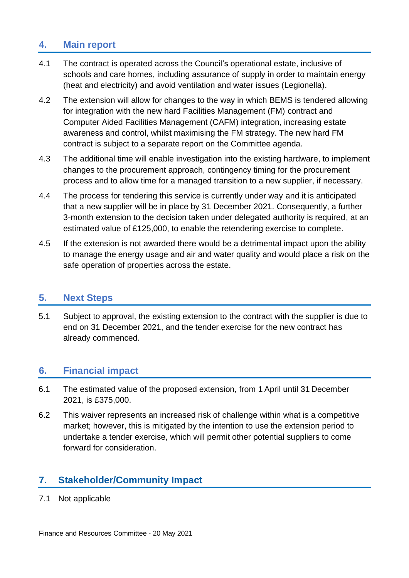#### **4. Main report**

- 4.1 The contract is operated across the Council's operational estate, inclusive of schools and care homes, including assurance of supply in order to maintain energy (heat and electricity) and avoid ventilation and water issues (Legionella).
- 4.2 The extension will allow for changes to the way in which BEMS is tendered allowing for integration with the new hard Facilities Management (FM) contract and Computer Aided Facilities Management (CAFM) integration, increasing estate awareness and control, whilst maximising the FM strategy. The new hard FM contract is subject to a separate report on the Committee agenda.
- 4.3 The additional time will enable investigation into the existing hardware, to implement changes to the procurement approach, contingency timing for the procurement process and to allow time for a managed transition to a new supplier, if necessary.
- 4.4 The process for tendering this service is currently under way and it is anticipated that a new supplier will be in place by 31 December 2021. Consequently, a further 3-month extension to the decision taken under delegated authority is required, at an estimated value of £125,000, to enable the retendering exercise to complete.
- 4.5 If the extension is not awarded there would be a detrimental impact upon the ability to manage the energy usage and air and water quality and would place a risk on the safe operation of properties across the estate.

#### **5. Next Steps**

5.1 Subject to approval, the existing extension to the contract with the supplier is due to end on 31 December 2021, and the tender exercise for the new contract has already commenced.

#### **6. Financial impact**

- 6.1 The estimated value of the proposed extension, from 1 April until 31 December 2021, is £375,000.
- 6.2 This waiver represents an increased risk of challenge within what is a competitive market; however, this is mitigated by the intention to use the extension period to undertake a tender exercise, which will permit other potential suppliers to come forward for consideration.

#### **7. Stakeholder/Community Impact**

7.1 Not applicable